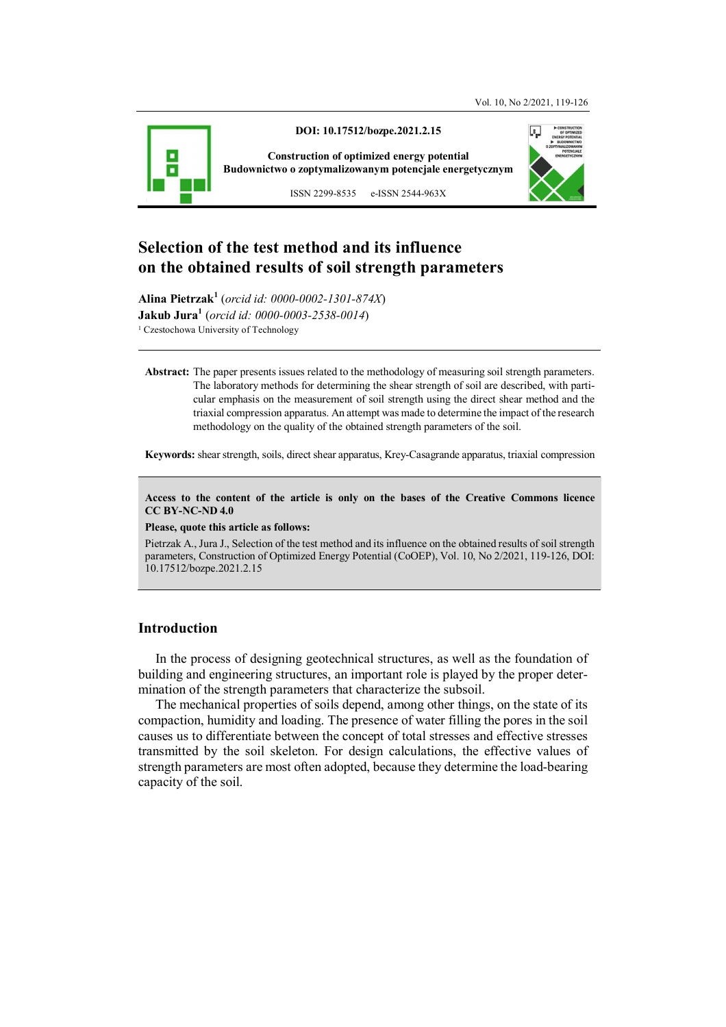

**DOI: 10.17512/bozpe.2021.2.15** 

**Construction of optimized energy potential Budownictwo o zoptymalizowanym potencjale energetycznym**



ISSN 2299-8535 e-ISSN 2544-963X

# **Selection of the test method and its influence on the obtained results of soil strength parameters**

**Alina Pietrzak<sup>1</sup>** (*orcid id: 0000-0002-1301-874X*) **Jakub Jura<sup>1</sup>** (*orcid id: 0000-0003-2538-0014*) <sup>1</sup> Czestochowa University of Technology

**Abstract:** The paper presents issues related to the methodology of measuring soil strength parameters. The laboratory methods for determining the shear strength of soil are described, with particular emphasis on the measurement of soil strength using the direct shear method and the triaxial compression apparatus. An attempt was made to determine the impact of the research methodology on the quality of the obtained strength parameters of the soil.

**Keywords:** shear strength, soils, direct shear apparatus, Krey-Casagrande apparatus, triaxial compression

**Access to the content of the article is only on the bases of the Creative Commons licence CC BY-NC-ND 4.0** 

**Please, quote this article as follows:** 

Pietrzak A., Jura J., Selection of the test method and its influence on the obtained results of soil strength parameters, Construction of Optimized Energy Potential (CoOEP), Vol. 10, No 2/2021, 119-126, DOI: 10.17512/bozpe.2021.2.15

## **Introduction**

In the process of designing geotechnical structures, as well as the foundation of building and engineering structures, an important role is played by the proper determination of the strength parameters that characterize the subsoil.

The mechanical properties of soils depend, among other things, on the state of its compaction, humidity and loading. The presence of water filling the pores in the soil causes us to differentiate between the concept of total stresses and effective stresses transmitted by the soil skeleton. For design calculations, the effective values of strength parameters are most often adopted, because they determine the load-bearing capacity of the soil.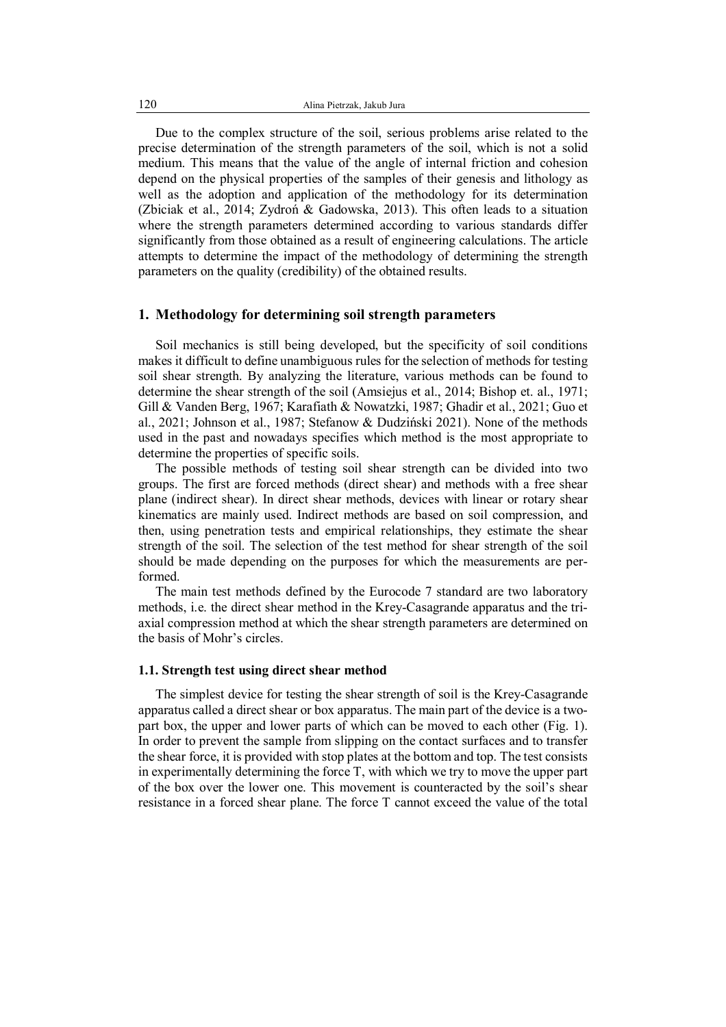Due to the complex structure of the soil, serious problems arise related to the precise determination of the strength parameters of the soil, which is not a solid medium. This means that the value of the angle of internal friction and cohesion depend on the physical properties of the samples of their genesis and lithology as well as the adoption and application of the methodology for its determination (Zbiciak et al., 2014; Zydroń & Gadowska, 2013). This often leads to a situation where the strength parameters determined according to various standards differ significantly from those obtained as a result of engineering calculations. The article attempts to determine the impact of the methodology of determining the strength parameters on the quality (credibility) of the obtained results.

#### **1. Methodology for determining soil strength parameters**

Soil mechanics is still being developed, but the specificity of soil conditions makes it difficult to define unambiguous rules for the selection of methods for testing soil shear strength. By analyzing the literature, various methods can be found to determine the shear strength of the soil (Amsiejus et al., 2014; Bishop et. al., 1971; Gill & Vanden Berg, 1967; Karafiath & Nowatzki, 1987; Ghadir et al., 2021; Guo et al., 2021; Johnson et al., 1987; Stefanow & Dudziński 2021). None of the methods used in the past and nowadays specifies which method is the most appropriate to determine the properties of specific soils.

The possible methods of testing soil shear strength can be divided into two groups. The first are forced methods (direct shear) and methods with a free shear plane (indirect shear). In direct shear methods, devices with linear or rotary shear kinematics are mainly used. Indirect methods are based on soil compression, and then, using penetration tests and empirical relationships, they estimate the shear strength of the soil. The selection of the test method for shear strength of the soil should be made depending on the purposes for which the measurements are performed.

The main test methods defined by the Eurocode 7 standard are two laboratory methods, i.e. the direct shear method in the Krey-Casagrande apparatus and the triaxial compression method at which the shear strength parameters are determined on the basis of Mohr's circles.

#### **1.1. Strength test using direct shear method**

The simplest device for testing the shear strength of soil is the Krey-Casagrande apparatus called a direct shear or box apparatus. The main part of the device is a twopart box, the upper and lower parts of which can be moved to each other (Fig. 1). In order to prevent the sample from slipping on the contact surfaces and to transfer the shear force, it is provided with stop plates at the bottom and top. The test consists in experimentally determining the force T, with which we try to move the upper part of the box over the lower one. This movement is counteracted by the soil's shear resistance in a forced shear plane. The force T cannot exceed the value of the total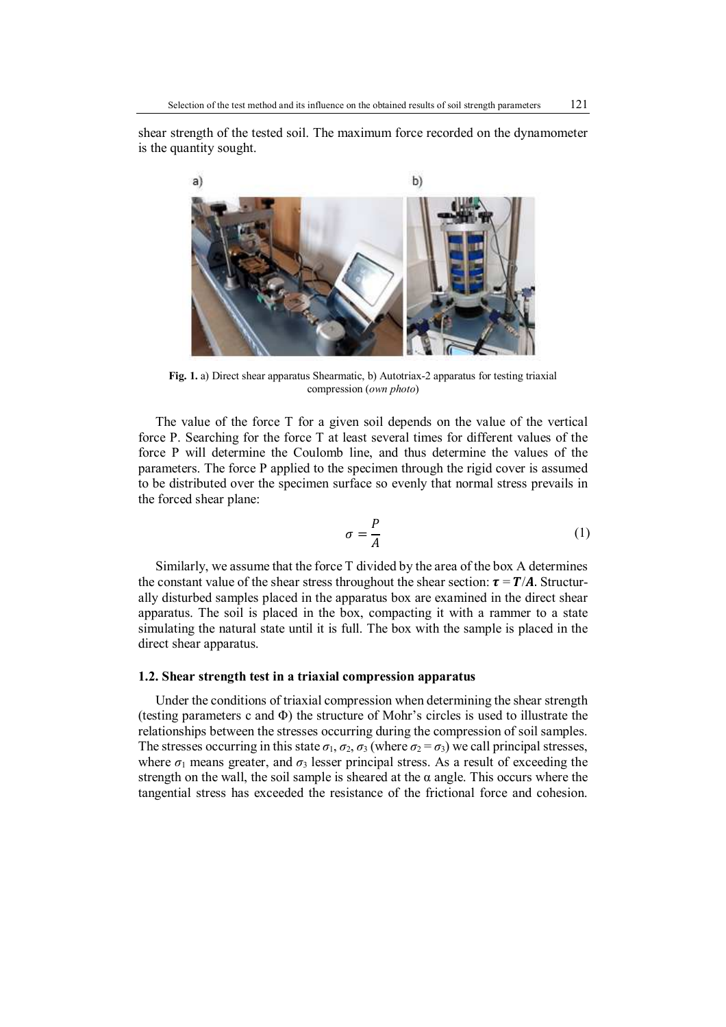shear strength of the tested soil. The maximum force recorded on the dynamometer is the quantity sought.



**Fig. 1.** a) Direct shear apparatus Shearmatic, b) Autotriax-2 apparatus for testing triaxial compression (*own photo*)

The value of the force T for a given soil depends on the value of the vertical force P. Searching for the force T at least several times for different values of the force P will determine the Coulomb line, and thus determine the values of the parameters. The force P applied to the specimen through the rigid cover is assumed to be distributed over the specimen surface so evenly that normal stress prevails in the forced shear plane:

$$
\sigma = \frac{P}{A} \tag{1}
$$

Similarly, we assume that the force T divided by the area of the box A determines the constant value of the shear stress throughout the shear section:  $\tau = T/A$ . Structurally disturbed samples placed in the apparatus box are examined in the direct shear apparatus. The soil is placed in the box, compacting it with a rammer to a state simulating the natural state until it is full. The box with the sample is placed in the direct shear apparatus.

#### **1.2. Shear strength test in a triaxial compression apparatus**

Under the conditions of triaxial compression when determining the shear strength (testing parameters c and Φ) the structure of Mohr's circles is used to illustrate the relationships between the stresses occurring during the compression of soil samples. The stresses occurring in this state  $\sigma_1$ ,  $\sigma_2$ ,  $\sigma_3$  (where  $\sigma_2 = \sigma_3$ ) we call principal stresses, where  $\sigma_1$  means greater, and  $\sigma_3$  lesser principal stress. As a result of exceeding the strength on the wall, the soil sample is sheared at the  $\alpha$  angle. This occurs where the tangential stress has exceeded the resistance of the frictional force and cohesion.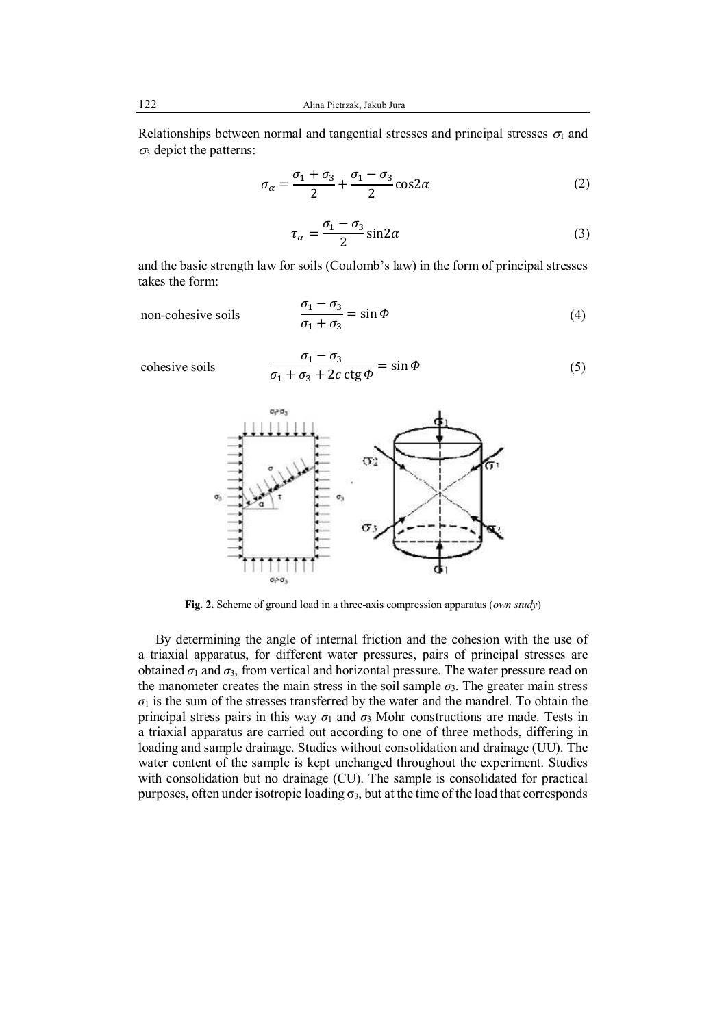122 Alina Pietrzak, Jakub Jura

Relationships between normal and tangential stresses and principal stresses  $\sigma_1$  and  $\sigma_3$  depict the patterns:

$$
\sigma_{\alpha} = \frac{\sigma_1 + \sigma_3}{2} + \frac{\sigma_1 - \sigma_3}{2} \cos 2\alpha \tag{2}
$$

$$
\tau_{\alpha} = \frac{\sigma_1 - \sigma_3}{2} \sin 2\alpha \tag{3}
$$

and the basic strength law for soils (Coulomb's law) in the form of principal stresses takes the form:

non-cohesive soils

$$
\frac{\sigma_1 - \sigma_3}{\sigma_1 + \sigma_3} = \sin \Phi \tag{4}
$$

cohesive soils

$$
\frac{\sigma_1 - \sigma_3}{\sigma_1 + \sigma_3 + 2c \operatorname{ctg} \varphi} = \sin \varphi \tag{5}
$$





**Fig. 2.** Scheme of ground load in a three-axis compression apparatus (*own study*)

By determining the angle of internal friction and the cohesion with the use of a triaxial apparatus, for different water pressures, pairs of principal stresses are obtained  $\sigma_1$  and  $\sigma_3$ , from vertical and horizontal pressure. The water pressure read on the manometer creates the main stress in the soil sample  $\sigma_3$ . The greater main stress  $\sigma_1$  is the sum of the stresses transferred by the water and the mandrel. To obtain the principal stress pairs in this way  $\sigma_1$  and  $\sigma_3$  Mohr constructions are made. Tests in a triaxial apparatus are carried out according to one of three methods, differing in loading and sample drainage. Studies without consolidation and drainage (UU). The water content of the sample is kept unchanged throughout the experiment. Studies with consolidation but no drainage (CU). The sample is consolidated for practical purposes, often under isotropic loading  $\sigma_3$ , but at the time of the load that corresponds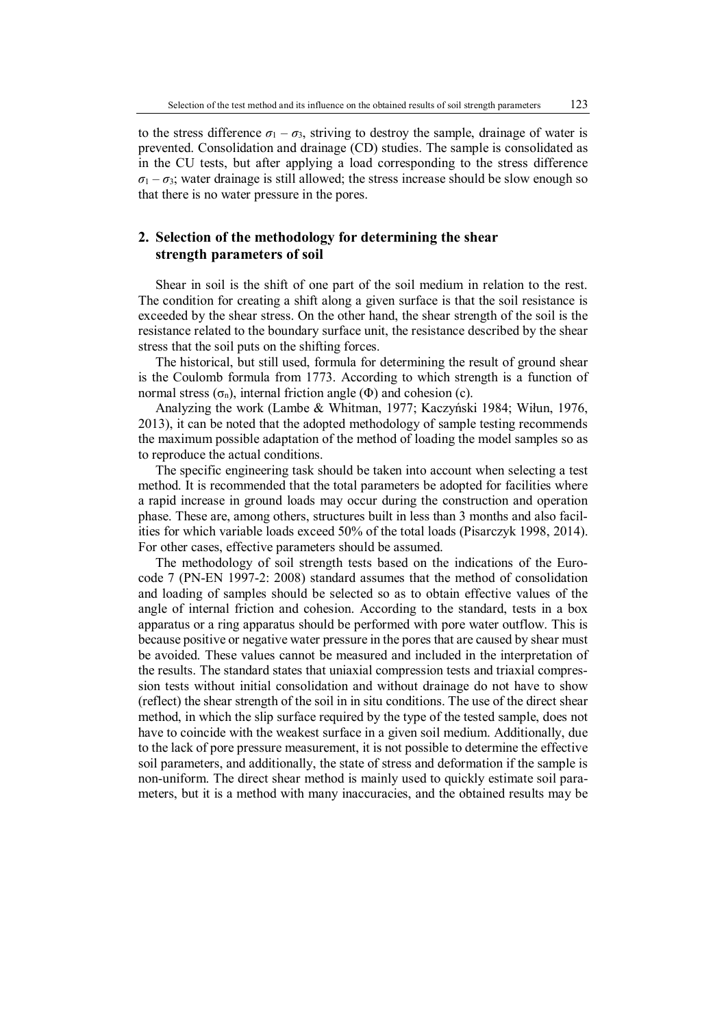to the stress difference  $\sigma_1 - \sigma_3$ , striving to destroy the sample, drainage of water is prevented. Consolidation and drainage (CD) studies. The sample is consolidated as in the CU tests, but after applying a load corresponding to the stress difference  $\sigma_1 - \sigma_3$ ; water drainage is still allowed; the stress increase should be slow enough so that there is no water pressure in the pores.

# **2. Selection of the methodology for determining the shear strength parameters of soil**

Shear in soil is the shift of one part of the soil medium in relation to the rest. The condition for creating a shift along a given surface is that the soil resistance is exceeded by the shear stress. On the other hand, the shear strength of the soil is the resistance related to the boundary surface unit, the resistance described by the shear stress that the soil puts on the shifting forces.

The historical, but still used, formula for determining the result of ground shear is the Coulomb formula from 1773. According to which strength is a function of normal stress ( $\sigma_n$ ), internal friction angle (Φ) and cohesion (c).

Analyzing the work (Lambe & Whitman, 1977; Kaczyński 1984; Wiłun, 1976, 2013), it can be noted that the adopted methodology of sample testing recommends the maximum possible adaptation of the method of loading the model samples so as to reproduce the actual conditions.

The specific engineering task should be taken into account when selecting a test method. It is recommended that the total parameters be adopted for facilities where a rapid increase in ground loads may occur during the construction and operation phase. These are, among others, structures built in less than 3 months and also facilities for which variable loads exceed 50% of the total loads (Pisarczyk 1998, 2014). For other cases, effective parameters should be assumed.

The methodology of soil strength tests based on the indications of the Eurocode 7 (PN-EN 1997-2: 2008) standard assumes that the method of consolidation and loading of samples should be selected so as to obtain effective values of the angle of internal friction and cohesion. According to the standard, tests in a box apparatus or a ring apparatus should be performed with pore water outflow. This is because positive or negative water pressure in the pores that are caused by shear must be avoided. These values cannot be measured and included in the interpretation of the results. The standard states that uniaxial compression tests and triaxial compression tests without initial consolidation and without drainage do not have to show (reflect) the shear strength of the soil in in situ conditions. The use of the direct shear method, in which the slip surface required by the type of the tested sample, does not have to coincide with the weakest surface in a given soil medium. Additionally, due to the lack of pore pressure measurement, it is not possible to determine the effective soil parameters, and additionally, the state of stress and deformation if the sample is non-uniform. The direct shear method is mainly used to quickly estimate soil parameters, but it is a method with many inaccuracies, and the obtained results may be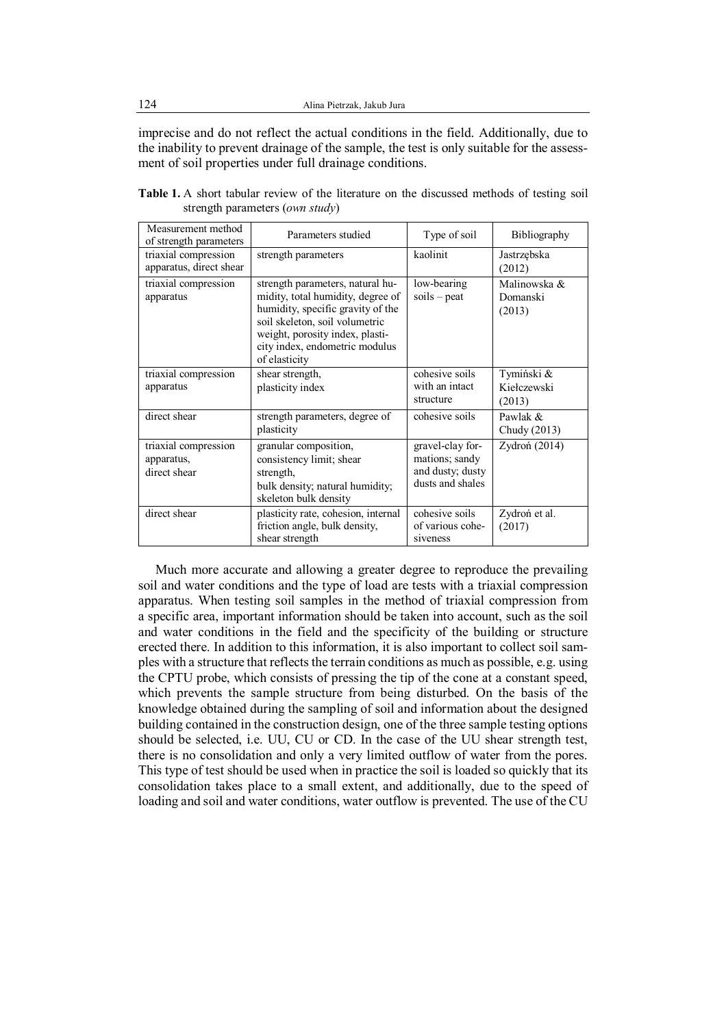imprecise and do not reflect the actual conditions in the field. Additionally, due to the inability to prevent drainage of the sample, the test is only suitable for the assessment of soil properties under full drainage conditions.

| Measurement method<br>of strength parameters       | Parameters studied                                                                                                                                                                                                                 | Type of soil                                                               | Bibliography                        |
|----------------------------------------------------|------------------------------------------------------------------------------------------------------------------------------------------------------------------------------------------------------------------------------------|----------------------------------------------------------------------------|-------------------------------------|
| triaxial compression<br>apparatus, direct shear    | strength parameters                                                                                                                                                                                                                | kaolinit                                                                   | Jastrzębska<br>(2012)               |
| triaxial compression<br>apparatus                  | strength parameters, natural hu-<br>midity, total humidity, degree of<br>humidity, specific gravity of the<br>soil skeleton, soil volumetric<br>weight, porosity index, plasti-<br>city index, endometric modulus<br>of elasticity | low-bearing<br>$soids -$ peat                                              | Malinowska &<br>Domanski<br>(2013)  |
| triaxial compression<br>apparatus                  | shear strength,<br>plasticity index                                                                                                                                                                                                | cohesive soils<br>with an intact<br>structure                              | Tymiński &<br>Kiełczewski<br>(2013) |
| direct shear                                       | strength parameters, degree of<br>plasticity                                                                                                                                                                                       | cohesive soils                                                             | Pawlak &<br>Chudy (2013)            |
| triaxial compression<br>apparatus,<br>direct shear | granular composition,<br>consistency limit; shear<br>strength,<br>bulk density; natural humidity;<br>skeleton bulk density                                                                                                         | gravel-clay for-<br>mations; sandy<br>and dusty; dusty<br>dusts and shales | Zydroń (2014)                       |
| direct shear                                       | plasticity rate, cohesion, internal<br>friction angle, bulk density,<br>shear strength                                                                                                                                             | cohesive soils<br>of various cohe-<br>siveness                             | Zydroń et al.<br>(2017)             |

Table 1. A short tabular review of the literature on the discussed methods of testing soil strength parameters (*own study*)

Much more accurate and allowing a greater degree to reproduce the prevailing soil and water conditions and the type of load are tests with a triaxial compression apparatus. When testing soil samples in the method of triaxial compression from a specific area, important information should be taken into account, such as the soil and water conditions in the field and the specificity of the building or structure erected there. In addition to this information, it is also important to collect soil samples with a structure that reflects the terrain conditions as much as possible, e.g. using the CPTU probe, which consists of pressing the tip of the cone at a constant speed, which prevents the sample structure from being disturbed. On the basis of the knowledge obtained during the sampling of soil and information about the designed building contained in the construction design, one of the three sample testing options should be selected, i.e. UU, CU or CD. In the case of the UU shear strength test, there is no consolidation and only a very limited outflow of water from the pores. This type of test should be used when in practice the soil is loaded so quickly that its consolidation takes place to a small extent, and additionally, due to the speed of loading and soil and water conditions, water outflow is prevented. The use of the CU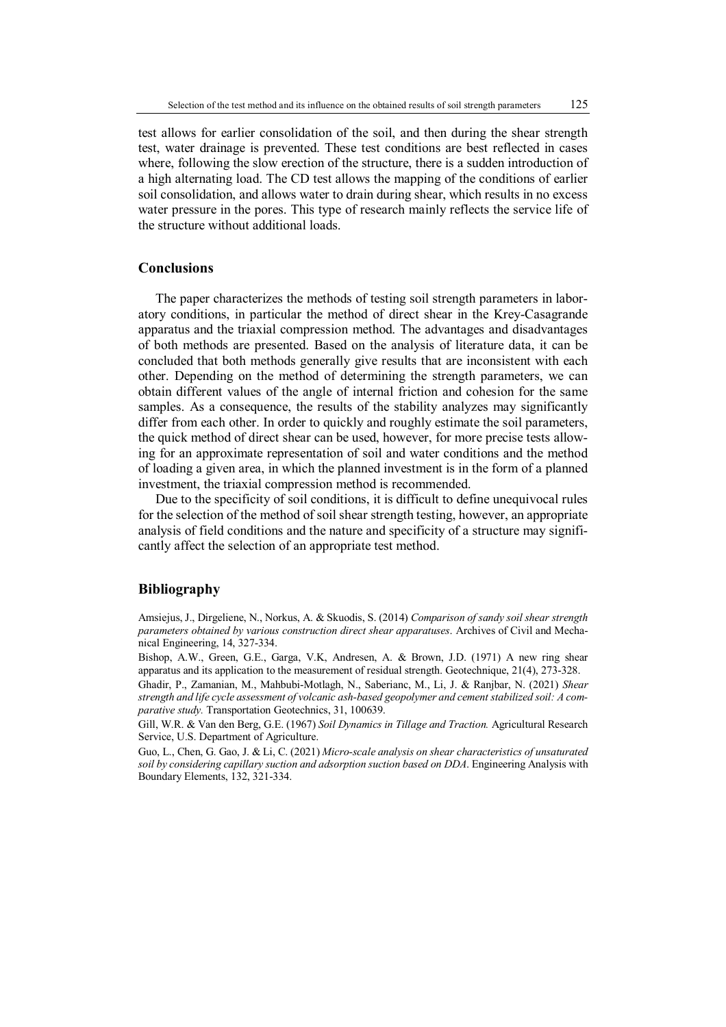test allows for earlier consolidation of the soil, and then during the shear strength test, water drainage is prevented. These test conditions are best reflected in cases where, following the slow erection of the structure, there is a sudden introduction of a high alternating load. The CD test allows the mapping of the conditions of earlier soil consolidation, and allows water to drain during shear, which results in no excess water pressure in the pores. This type of research mainly reflects the service life of the structure without additional loads.

### **Conclusions**

The paper characterizes the methods of testing soil strength parameters in laboratory conditions, in particular the method of direct shear in the Krey-Casagrande apparatus and the triaxial compression method. The advantages and disadvantages of both methods are presented. Based on the analysis of literature data, it can be concluded that both methods generally give results that are inconsistent with each other. Depending on the method of determining the strength parameters, we can obtain different values of the angle of internal friction and cohesion for the same samples. As a consequence, the results of the stability analyzes may significantly differ from each other. In order to quickly and roughly estimate the soil parameters, the quick method of direct shear can be used, however, for more precise tests allowing for an approximate representation of soil and water conditions and the method of loading a given area, in which the planned investment is in the form of a planned investment, the triaxial compression method is recommended.

Due to the specificity of soil conditions, it is difficult to define unequivocal rules for the selection of the method of soil shear strength testing, however, an appropriate analysis of field conditions and the nature and specificity of a structure may significantly affect the selection of an appropriate test method.

#### **Bibliography**

Amsiejus, J., Dirgeliene, N., Norkus, A. & Skuodis, S. (2014) *Comparison of sandy soil shear strength parameters obtained by various construction direct shear apparatuses*. Archives of Civil and Mechanical Engineering, 14, 327-334.

Bishop, A.W., Green, G.E., Garga, V.K, Andresen, A. & Brown, J.D. (1971) A new ring shear apparatus and its application to the measurement of residual strength. Geotechnique, 21(4), 273-328.

Ghadir, P., Zamanian, M., Mahbubi-Motlagh, N., Saberianc, M., Li, J. & Ranjbar, N. (2021) *Shear strength and life cycle assessment of volcanic ash-based geopolymer and cement stabilized soil: A comparative study.* Transportation Geotechnics, 31, 100639.

Gill, W.R. & Van den Berg, G.E. (1967) *Soil Dynamics in Tillage and Traction.* Agricultural Research Service, U.S. Department of Agriculture.

Guo, L., Chen, G. Gao, J. & Li, C. (2021) *Micro-scale analysis on shear characteristics of unsaturated soil by considering capillary suction and adsorption suction based on DDA*. Engineering Analysis with Boundary Elements, 132, 321-334.